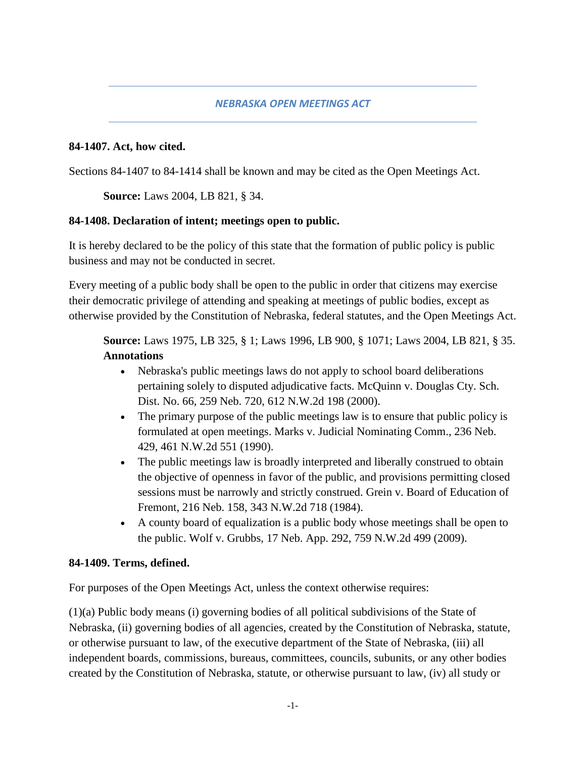### *NEBRASKA OPEN MEETINGS ACT*

#### **84-1407. Act, how cited.**

Sections 84-1407 to 84-1414 shall be known and may be cited as the Open Meetings Act.

**Source:** Laws 2004, LB 821, § 34.

### **84-1408. Declaration of intent; meetings open to public.**

It is hereby declared to be the policy of this state that the formation of public policy is public business and may not be conducted in secret.

Every meeting of a public body shall be open to the public in order that citizens may exercise their democratic privilege of attending and speaking at meetings of public bodies, except as otherwise provided by the Constitution of Nebraska, federal statutes, and the Open Meetings Act.

**Source:** Laws 1975, LB 325, § 1; Laws 1996, LB 900, § 1071; Laws 2004, LB 821, § 35. **Annotations**

- Nebraska's public meetings laws do not apply to school board deliberations pertaining solely to disputed adjudicative facts. McQuinn v. Douglas Cty. Sch. Dist. No. 66, 259 Neb. 720, 612 N.W.2d 198 (2000).
- The primary purpose of the public meetings law is to ensure that public policy is formulated at open meetings. Marks v. Judicial Nominating Comm., 236 Neb. 429, 461 N.W.2d 551 (1990).
- The public meetings law is broadly interpreted and liberally construed to obtain the objective of openness in favor of the public, and provisions permitting closed sessions must be narrowly and strictly construed. Grein v. Board of Education of Fremont, 216 Neb. 158, 343 N.W.2d 718 (1984).
- A county board of equalization is a public body whose meetings shall be open to the public. Wolf v. Grubbs, 17 Neb. App. 292, 759 N.W.2d 499 (2009).

#### **84-1409. Terms, defined.**

For purposes of the Open Meetings Act, unless the context otherwise requires:

(1)(a) Public body means (i) governing bodies of all political subdivisions of the State of Nebraska, (ii) governing bodies of all agencies, created by the Constitution of Nebraska, statute, or otherwise pursuant to law, of the executive department of the State of Nebraska, (iii) all independent boards, commissions, bureaus, committees, councils, subunits, or any other bodies created by the Constitution of Nebraska, statute, or otherwise pursuant to law, (iv) all study or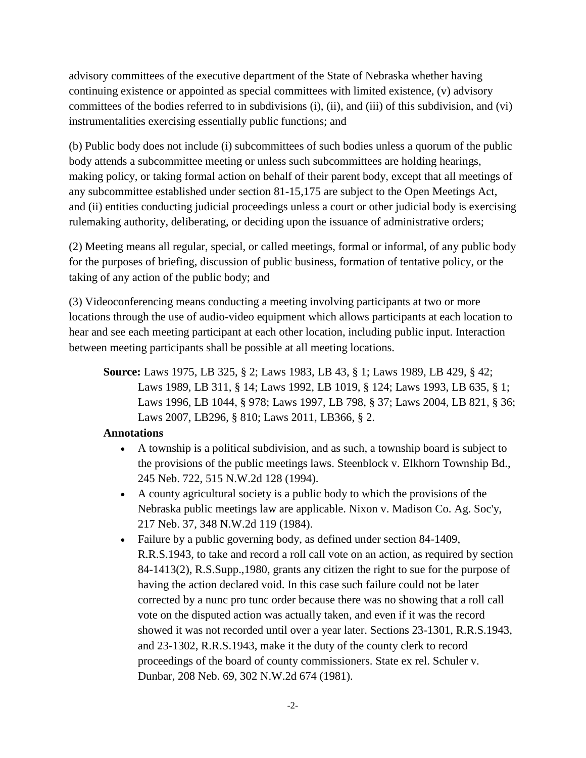advisory committees of the executive department of the State of Nebraska whether having continuing existence or appointed as special committees with limited existence, (v) advisory committees of the bodies referred to in subdivisions (i), (ii), and (iii) of this subdivision, and (vi) instrumentalities exercising essentially public functions; and

(b) Public body does not include (i) subcommittees of such bodies unless a quorum of the public body attends a subcommittee meeting or unless such subcommittees are holding hearings, making policy, or taking formal action on behalf of their parent body, except that all meetings of any subcommittee established under section 81-15,175 are subject to the Open Meetings Act, and (ii) entities conducting judicial proceedings unless a court or other judicial body is exercising rulemaking authority, deliberating, or deciding upon the issuance of administrative orders;

(2) Meeting means all regular, special, or called meetings, formal or informal, of any public body for the purposes of briefing, discussion of public business, formation of tentative policy, or the taking of any action of the public body; and

(3) Videoconferencing means conducting a meeting involving participants at two or more locations through the use of audio-video equipment which allows participants at each location to hear and see each meeting participant at each other location, including public input. Interaction between meeting participants shall be possible at all meeting locations.

**Source:** Laws 1975, LB 325, § 2; Laws 1983, LB 43, § 1; Laws 1989, LB 429, § 42; Laws 1989, LB 311, § 14; Laws 1992, LB 1019, § 124; Laws 1993, LB 635, § 1; Laws 1996, LB 1044, § 978; Laws 1997, LB 798, § 37; Laws 2004, LB 821, § 36; Laws 2007, LB296, § 810; Laws 2011, LB366, § 2.

- A township is a political subdivision, and as such, a township board is subject to the provisions of the public meetings laws. Steenblock v. Elkhorn Township Bd., 245 Neb. 722, 515 N.W.2d 128 (1994).
- A county agricultural society is a public body to which the provisions of the Nebraska public meetings law are applicable. Nixon v. Madison Co. Ag. Soc'y, 217 Neb. 37, 348 N.W.2d 119 (1984).
- Failure by a public governing body, as defined under section 84-1409, R.R.S.1943, to take and record a roll call vote on an action, as required by section 84-1413(2), R.S.Supp.,1980, grants any citizen the right to sue for the purpose of having the action declared void. In this case such failure could not be later corrected by a nunc pro tunc order because there was no showing that a roll call vote on the disputed action was actually taken, and even if it was the record showed it was not recorded until over a year later. Sections 23-1301, R.R.S.1943, and 23-1302, R.R.S.1943, make it the duty of the county clerk to record proceedings of the board of county commissioners. State ex rel. Schuler v. Dunbar, 208 Neb. 69, 302 N.W.2d 674 (1981).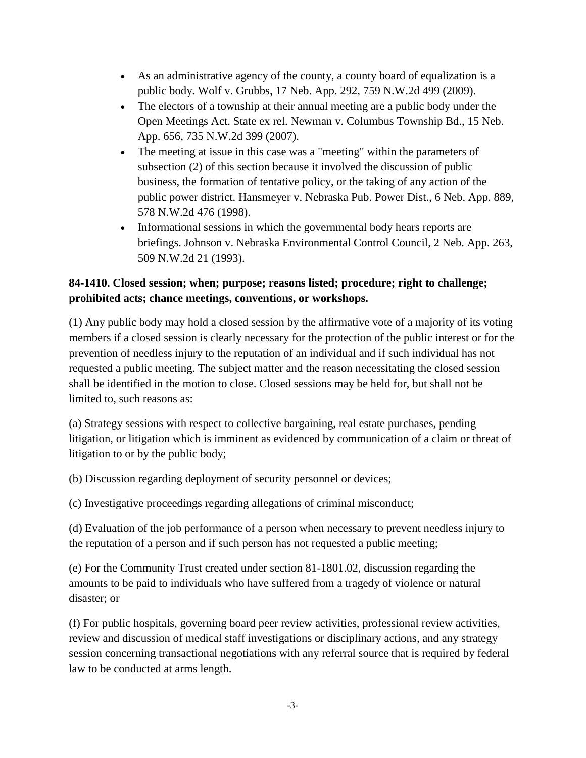- As an administrative agency of the county, a county board of equalization is a public body. Wolf v. Grubbs, 17 Neb. App. 292, 759 N.W.2d 499 (2009).
- The electors of a township at their annual meeting are a public body under the Open Meetings Act. State ex rel. Newman v. Columbus Township Bd., 15 Neb. App. 656, 735 N.W.2d 399 (2007).
- The meeting at issue in this case was a "meeting" within the parameters of subsection (2) of this section because it involved the discussion of public business, the formation of tentative policy, or the taking of any action of the public power district. Hansmeyer v. Nebraska Pub. Power Dist., 6 Neb. App. 889, 578 N.W.2d 476 (1998).
- Informational sessions in which the governmental body hears reports are briefings. Johnson v. Nebraska Environmental Control Council, 2 Neb. App. 263, 509 N.W.2d 21 (1993).

# **84-1410. Closed session; when; purpose; reasons listed; procedure; right to challenge; prohibited acts; chance meetings, conventions, or workshops.**

(1) Any public body may hold a closed session by the affirmative vote of a majority of its voting members if a closed session is clearly necessary for the protection of the public interest or for the prevention of needless injury to the reputation of an individual and if such individual has not requested a public meeting. The subject matter and the reason necessitating the closed session shall be identified in the motion to close. Closed sessions may be held for, but shall not be limited to, such reasons as:

(a) Strategy sessions with respect to collective bargaining, real estate purchases, pending litigation, or litigation which is imminent as evidenced by communication of a claim or threat of litigation to or by the public body;

(b) Discussion regarding deployment of security personnel or devices;

(c) Investigative proceedings regarding allegations of criminal misconduct;

(d) Evaluation of the job performance of a person when necessary to prevent needless injury to the reputation of a person and if such person has not requested a public meeting;

(e) For the Community Trust created under section 81-1801.02, discussion regarding the amounts to be paid to individuals who have suffered from a tragedy of violence or natural disaster; or

(f) For public hospitals, governing board peer review activities, professional review activities, review and discussion of medical staff investigations or disciplinary actions, and any strategy session concerning transactional negotiations with any referral source that is required by federal law to be conducted at arms length.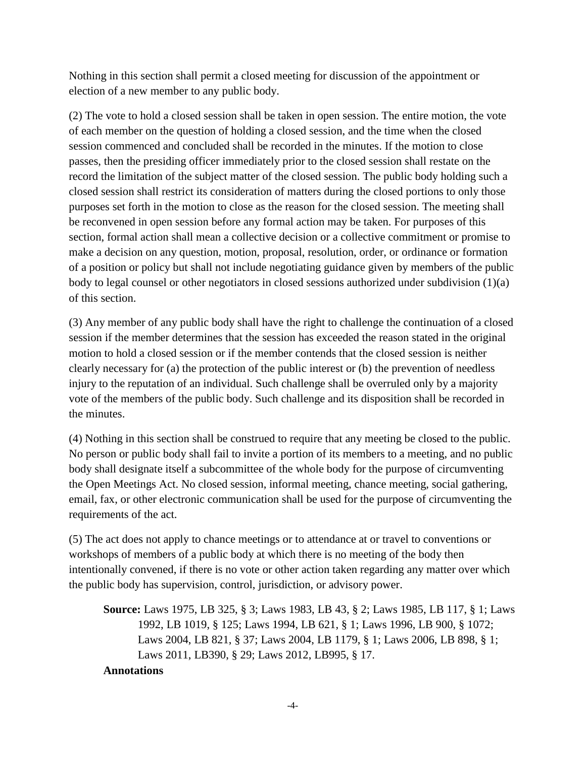Nothing in this section shall permit a closed meeting for discussion of the appointment or election of a new member to any public body.

(2) The vote to hold a closed session shall be taken in open session. The entire motion, the vote of each member on the question of holding a closed session, and the time when the closed session commenced and concluded shall be recorded in the minutes. If the motion to close passes, then the presiding officer immediately prior to the closed session shall restate on the record the limitation of the subject matter of the closed session. The public body holding such a closed session shall restrict its consideration of matters during the closed portions to only those purposes set forth in the motion to close as the reason for the closed session. The meeting shall be reconvened in open session before any formal action may be taken. For purposes of this section, formal action shall mean a collective decision or a collective commitment or promise to make a decision on any question, motion, proposal, resolution, order, or ordinance or formation of a position or policy but shall not include negotiating guidance given by members of the public body to legal counsel or other negotiators in closed sessions authorized under subdivision (1)(a) of this section.

(3) Any member of any public body shall have the right to challenge the continuation of a closed session if the member determines that the session has exceeded the reason stated in the original motion to hold a closed session or if the member contends that the closed session is neither clearly necessary for (a) the protection of the public interest or (b) the prevention of needless injury to the reputation of an individual. Such challenge shall be overruled only by a majority vote of the members of the public body. Such challenge and its disposition shall be recorded in the minutes.

(4) Nothing in this section shall be construed to require that any meeting be closed to the public. No person or public body shall fail to invite a portion of its members to a meeting, and no public body shall designate itself a subcommittee of the whole body for the purpose of circumventing the Open Meetings Act. No closed session, informal meeting, chance meeting, social gathering, email, fax, or other electronic communication shall be used for the purpose of circumventing the requirements of the act.

(5) The act does not apply to chance meetings or to attendance at or travel to conventions or workshops of members of a public body at which there is no meeting of the body then intentionally convened, if there is no vote or other action taken regarding any matter over which the public body has supervision, control, jurisdiction, or advisory power.

**Source:** Laws 1975, LB 325, § 3; Laws 1983, LB 43, § 2; Laws 1985, LB 117, § 1; Laws 1992, LB 1019, § 125; Laws 1994, LB 621, § 1; Laws 1996, LB 900, § 1072; Laws 2004, LB 821, § 37; Laws 2004, LB 1179, § 1; Laws 2006, LB 898, § 1; Laws 2011, LB390, § 29; Laws 2012, LB995, § 17.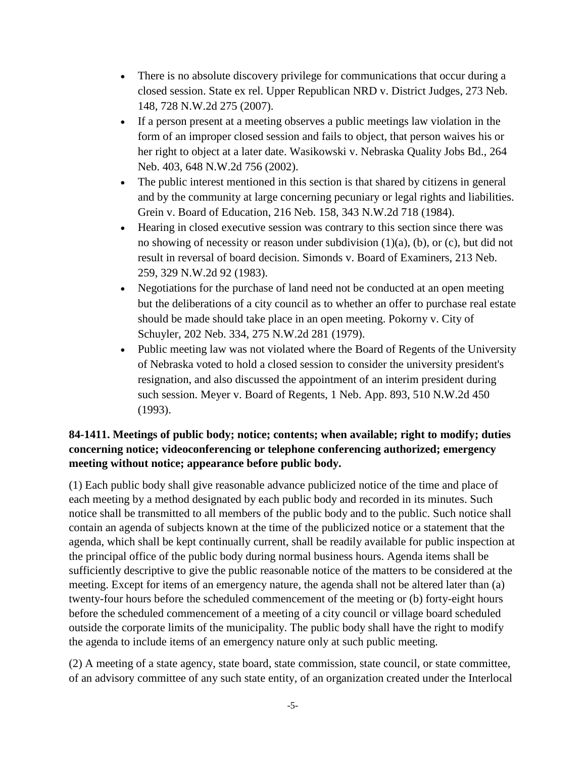- There is no absolute discovery privilege for communications that occur during a closed session. State ex rel. Upper Republican NRD v. District Judges, 273 Neb. 148, 728 N.W.2d 275 (2007).
- If a person present at a meeting observes a public meetings law violation in the form of an improper closed session and fails to object, that person waives his or her right to object at a later date. Wasikowski v. Nebraska Quality Jobs Bd., 264 Neb. 403, 648 N.W.2d 756 (2002).
- The public interest mentioned in this section is that shared by citizens in general and by the community at large concerning pecuniary or legal rights and liabilities. Grein v. Board of Education, 216 Neb. 158, 343 N.W.2d 718 (1984).
- Hearing in closed executive session was contrary to this section since there was no showing of necessity or reason under subdivision (1)(a), (b), or (c), but did not result in reversal of board decision. Simonds v. Board of Examiners, 213 Neb. 259, 329 N.W.2d 92 (1983).
- Negotiations for the purchase of land need not be conducted at an open meeting but the deliberations of a city council as to whether an offer to purchase real estate should be made should take place in an open meeting. Pokorny v. City of Schuyler, 202 Neb. 334, 275 N.W.2d 281 (1979).
- Public meeting law was not violated where the Board of Regents of the University of Nebraska voted to hold a closed session to consider the university president's resignation, and also discussed the appointment of an interim president during such session. Meyer v. Board of Regents, 1 Neb. App. 893, 510 N.W.2d 450 (1993).

# **84-1411. Meetings of public body; notice; contents; when available; right to modify; duties concerning notice; videoconferencing or telephone conferencing authorized; emergency meeting without notice; appearance before public body.**

(1) Each public body shall give reasonable advance publicized notice of the time and place of each meeting by a method designated by each public body and recorded in its minutes. Such notice shall be transmitted to all members of the public body and to the public. Such notice shall contain an agenda of subjects known at the time of the publicized notice or a statement that the agenda, which shall be kept continually current, shall be readily available for public inspection at the principal office of the public body during normal business hours. Agenda items shall be sufficiently descriptive to give the public reasonable notice of the matters to be considered at the meeting. Except for items of an emergency nature, the agenda shall not be altered later than (a) twenty-four hours before the scheduled commencement of the meeting or (b) forty-eight hours before the scheduled commencement of a meeting of a city council or village board scheduled outside the corporate limits of the municipality. The public body shall have the right to modify the agenda to include items of an emergency nature only at such public meeting.

(2) A meeting of a state agency, state board, state commission, state council, or state committee, of an advisory committee of any such state entity, of an organization created under the Interlocal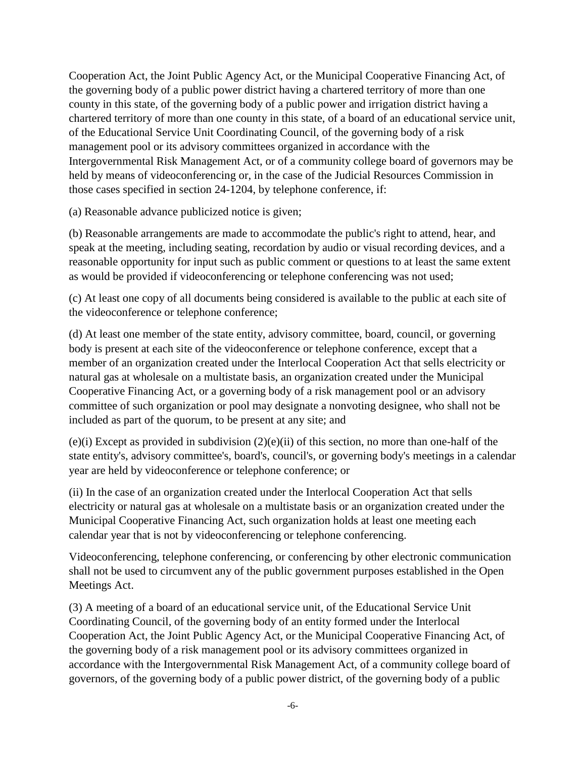Cooperation Act, the Joint Public Agency Act, or the Municipal Cooperative Financing Act, of the governing body of a public power district having a chartered territory of more than one county in this state, of the governing body of a public power and irrigation district having a chartered territory of more than one county in this state, of a board of an educational service unit, of the Educational Service Unit Coordinating Council, of the governing body of a risk management pool or its advisory committees organized in accordance with the Intergovernmental Risk Management Act, or of a community college board of governors may be held by means of videoconferencing or, in the case of the Judicial Resources Commission in those cases specified in section 24-1204, by telephone conference, if:

(a) Reasonable advance publicized notice is given;

(b) Reasonable arrangements are made to accommodate the public's right to attend, hear, and speak at the meeting, including seating, recordation by audio or visual recording devices, and a reasonable opportunity for input such as public comment or questions to at least the same extent as would be provided if videoconferencing or telephone conferencing was not used;

(c) At least one copy of all documents being considered is available to the public at each site of the videoconference or telephone conference;

(d) At least one member of the state entity, advisory committee, board, council, or governing body is present at each site of the videoconference or telephone conference, except that a member of an organization created under the Interlocal Cooperation Act that sells electricity or natural gas at wholesale on a multistate basis, an organization created under the Municipal Cooperative Financing Act, or a governing body of a risk management pool or an advisory committee of such organization or pool may designate a nonvoting designee, who shall not be included as part of the quorum, to be present at any site; and

(e)(i) Except as provided in subdivision (2)(e)(ii) of this section, no more than one-half of the state entity's, advisory committee's, board's, council's, or governing body's meetings in a calendar year are held by videoconference or telephone conference; or

(ii) In the case of an organization created under the Interlocal Cooperation Act that sells electricity or natural gas at wholesale on a multistate basis or an organization created under the Municipal Cooperative Financing Act, such organization holds at least one meeting each calendar year that is not by videoconferencing or telephone conferencing.

Videoconferencing, telephone conferencing, or conferencing by other electronic communication shall not be used to circumvent any of the public government purposes established in the Open Meetings Act.

(3) A meeting of a board of an educational service unit, of the Educational Service Unit Coordinating Council, of the governing body of an entity formed under the Interlocal Cooperation Act, the Joint Public Agency Act, or the Municipal Cooperative Financing Act, of the governing body of a risk management pool or its advisory committees organized in accordance with the Intergovernmental Risk Management Act, of a community college board of governors, of the governing body of a public power district, of the governing body of a public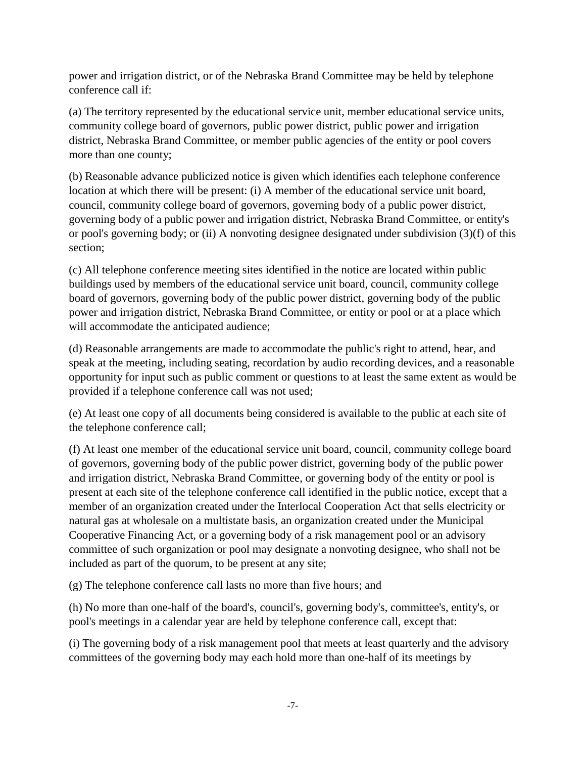power and irrigation district, or of the Nebraska Brand Committee may be held by telephone conference call if:

(a) The territory represented by the educational service unit, member educational service units, community college board of governors, public power district, public power and irrigation district, Nebraska Brand Committee, or member public agencies of the entity or pool covers more than one county;

(b) Reasonable advance publicized notice is given which identifies each telephone conference location at which there will be present: (i) A member of the educational service unit board, council, community college board of governors, governing body of a public power district, governing body of a public power and irrigation district, Nebraska Brand Committee, or entity's or pool's governing body; or (ii) A nonvoting designee designated under subdivision (3)(f) of this section;

(c) All telephone conference meeting sites identified in the notice are located within public buildings used by members of the educational service unit board, council, community college board of governors, governing body of the public power district, governing body of the public power and irrigation district, Nebraska Brand Committee, or entity or pool or at a place which will accommodate the anticipated audience;

(d) Reasonable arrangements are made to accommodate the public's right to attend, hear, and speak at the meeting, including seating, recordation by audio recording devices, and a reasonable opportunity for input such as public comment or questions to at least the same extent as would be provided if a telephone conference call was not used;

(e) At least one copy of all documents being considered is available to the public at each site of the telephone conference call;

(f) At least one member of the educational service unit board, council, community college board of governors, governing body of the public power district, governing body of the public power and irrigation district, Nebraska Brand Committee, or governing body of the entity or pool is present at each site of the telephone conference call identified in the public notice, except that a member of an organization created under the Interlocal Cooperation Act that sells electricity or natural gas at wholesale on a multistate basis, an organization created under the Municipal Cooperative Financing Act, or a governing body of a risk management pool or an advisory committee of such organization or pool may designate a nonvoting designee, who shall not be included as part of the quorum, to be present at any site;

(g) The telephone conference call lasts no more than five hours; and

(h) No more than one-half of the board's, council's, governing body's, committee's, entity's, or pool's meetings in a calendar year are held by telephone conference call, except that:

(i) The governing body of a risk management pool that meets at least quarterly and the advisory committees of the governing body may each hold more than one-half of its meetings by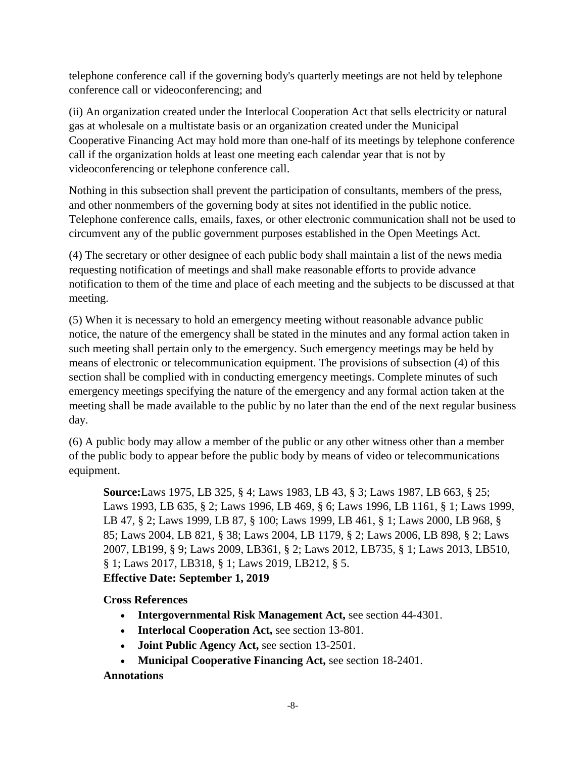telephone conference call if the governing body's quarterly meetings are not held by telephone conference call or videoconferencing; and

(ii) An organization created under the Interlocal Cooperation Act that sells electricity or natural gas at wholesale on a multistate basis or an organization created under the Municipal Cooperative Financing Act may hold more than one-half of its meetings by telephone conference call if the organization holds at least one meeting each calendar year that is not by videoconferencing or telephone conference call.

Nothing in this subsection shall prevent the participation of consultants, members of the press, and other nonmembers of the governing body at sites not identified in the public notice. Telephone conference calls, emails, faxes, or other electronic communication shall not be used to circumvent any of the public government purposes established in the Open Meetings Act.

(4) The secretary or other designee of each public body shall maintain a list of the news media requesting notification of meetings and shall make reasonable efforts to provide advance notification to them of the time and place of each meeting and the subjects to be discussed at that meeting.

(5) When it is necessary to hold an emergency meeting without reasonable advance public notice, the nature of the emergency shall be stated in the minutes and any formal action taken in such meeting shall pertain only to the emergency. Such emergency meetings may be held by means of electronic or telecommunication equipment. The provisions of subsection (4) of this section shall be complied with in conducting emergency meetings. Complete minutes of such emergency meetings specifying the nature of the emergency and any formal action taken at the meeting shall be made available to the public by no later than the end of the next regular business day.

(6) A public body may allow a member of the public or any other witness other than a member of the public body to appear before the public body by means of video or telecommunications equipment.

**Source:**Laws 1975, LB 325, § 4; Laws 1983, LB 43, § 3; Laws 1987, LB 663, § 25; Laws 1993, LB 635, § 2; Laws 1996, LB 469, § 6; Laws 1996, LB 1161, § 1; Laws 1999, LB 47, § 2; Laws 1999, LB 87, § 100; Laws 1999, LB 461, § 1; Laws 2000, LB 968, § 85; Laws 2004, LB 821, § 38; Laws 2004, LB 1179, § 2; Laws 2006, LB 898, § 2; Laws 2007, LB199, § 9; Laws 2009, LB361, § 2; Laws 2012, LB735, § 1; Laws 2013, LB510, § 1; Laws 2017, LB318, § 1; Laws 2019, LB212, § 5. **Effective Date: September 1, 2019**

**Cross References**

- **Intergovernmental Risk Management Act,** see section 44-4301.
- **Interlocal Cooperation Act,** see section 13-801.
- **Joint Public Agency Act,** see section 13-2501.
- **Municipal Cooperative Financing Act,** see section 18-2401.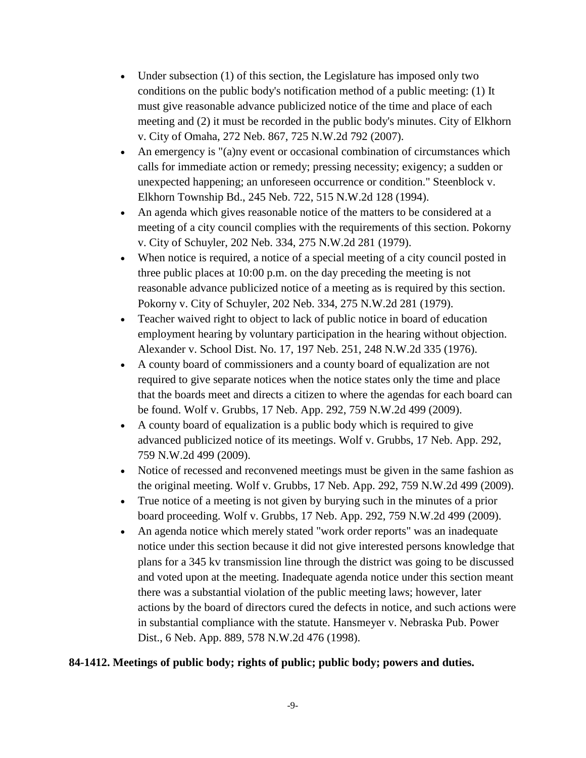- Under subsection (1) of this section, the Legislature has imposed only two conditions on the public body's notification method of a public meeting: (1) It must give reasonable advance publicized notice of the time and place of each meeting and (2) it must be recorded in the public body's minutes. City of Elkhorn v. City of Omaha, 272 Neb. 867, 725 N.W.2d 792 (2007).
- An emergency is "(a)ny event or occasional combination of circumstances which calls for immediate action or remedy; pressing necessity; exigency; a sudden or unexpected happening; an unforeseen occurrence or condition." Steenblock v. Elkhorn Township Bd., 245 Neb. 722, 515 N.W.2d 128 (1994).
- An agenda which gives reasonable notice of the matters to be considered at a meeting of a city council complies with the requirements of this section. Pokorny v. City of Schuyler, 202 Neb. 334, 275 N.W.2d 281 (1979).
- When notice is required, a notice of a special meeting of a city council posted in three public places at 10:00 p.m. on the day preceding the meeting is not reasonable advance publicized notice of a meeting as is required by this section. Pokorny v. City of Schuyler, 202 Neb. 334, 275 N.W.2d 281 (1979).
- Teacher waived right to object to lack of public notice in board of education employment hearing by voluntary participation in the hearing without objection. Alexander v. School Dist. No. 17, 197 Neb. 251, 248 N.W.2d 335 (1976).
- A county board of commissioners and a county board of equalization are not required to give separate notices when the notice states only the time and place that the boards meet and directs a citizen to where the agendas for each board can be found. Wolf v. Grubbs, 17 Neb. App. 292, 759 N.W.2d 499 (2009).
- A county board of equalization is a public body which is required to give advanced publicized notice of its meetings. Wolf v. Grubbs, 17 Neb. App. 292, 759 N.W.2d 499 (2009).
- Notice of recessed and reconvened meetings must be given in the same fashion as the original meeting. Wolf v. Grubbs, 17 Neb. App. 292, 759 N.W.2d 499 (2009).
- True notice of a meeting is not given by burying such in the minutes of a prior board proceeding. Wolf v. Grubbs, 17 Neb. App. 292, 759 N.W.2d 499 (2009).
- An agenda notice which merely stated "work order reports" was an inadequate notice under this section because it did not give interested persons knowledge that plans for a 345 kv transmission line through the district was going to be discussed and voted upon at the meeting. Inadequate agenda notice under this section meant there was a substantial violation of the public meeting laws; however, later actions by the board of directors cured the defects in notice, and such actions were in substantial compliance with the statute. Hansmeyer v. Nebraska Pub. Power Dist., 6 Neb. App. 889, 578 N.W.2d 476 (1998).

## **84-1412. Meetings of public body; rights of public; public body; powers and duties.**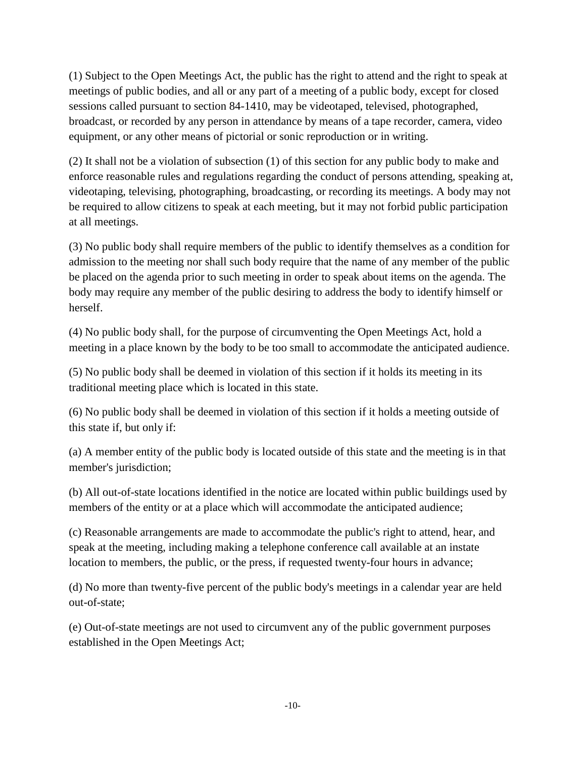(1) Subject to the Open Meetings Act, the public has the right to attend and the right to speak at meetings of public bodies, and all or any part of a meeting of a public body, except for closed sessions called pursuant to section 84-1410, may be videotaped, televised, photographed, broadcast, or recorded by any person in attendance by means of a tape recorder, camera, video equipment, or any other means of pictorial or sonic reproduction or in writing.

(2) It shall not be a violation of subsection (1) of this section for any public body to make and enforce reasonable rules and regulations regarding the conduct of persons attending, speaking at, videotaping, televising, photographing, broadcasting, or recording its meetings. A body may not be required to allow citizens to speak at each meeting, but it may not forbid public participation at all meetings.

(3) No public body shall require members of the public to identify themselves as a condition for admission to the meeting nor shall such body require that the name of any member of the public be placed on the agenda prior to such meeting in order to speak about items on the agenda. The body may require any member of the public desiring to address the body to identify himself or herself.

(4) No public body shall, for the purpose of circumventing the Open Meetings Act, hold a meeting in a place known by the body to be too small to accommodate the anticipated audience.

(5) No public body shall be deemed in violation of this section if it holds its meeting in its traditional meeting place which is located in this state.

(6) No public body shall be deemed in violation of this section if it holds a meeting outside of this state if, but only if:

(a) A member entity of the public body is located outside of this state and the meeting is in that member's jurisdiction;

(b) All out-of-state locations identified in the notice are located within public buildings used by members of the entity or at a place which will accommodate the anticipated audience;

(c) Reasonable arrangements are made to accommodate the public's right to attend, hear, and speak at the meeting, including making a telephone conference call available at an instate location to members, the public, or the press, if requested twenty-four hours in advance;

(d) No more than twenty-five percent of the public body's meetings in a calendar year are held out-of-state;

(e) Out-of-state meetings are not used to circumvent any of the public government purposes established in the Open Meetings Act;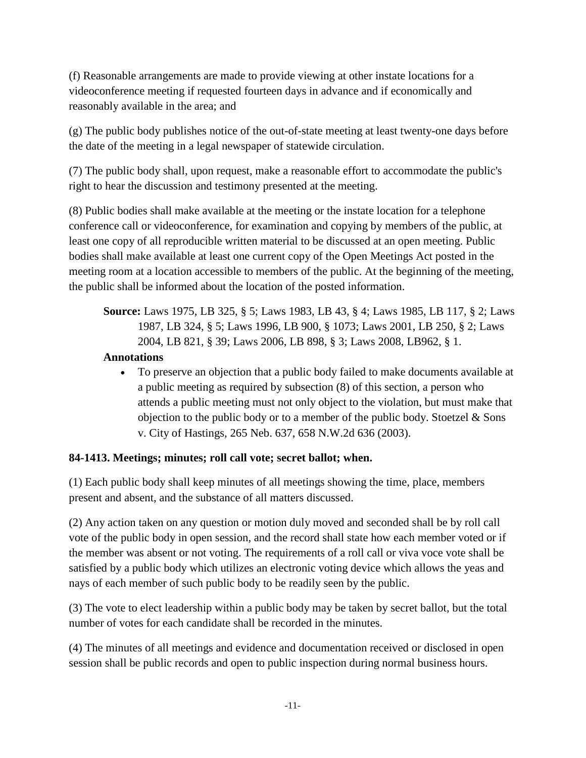(f) Reasonable arrangements are made to provide viewing at other instate locations for a videoconference meeting if requested fourteen days in advance and if economically and reasonably available in the area; and

(g) The public body publishes notice of the out-of-state meeting at least twenty-one days before the date of the meeting in a legal newspaper of statewide circulation.

(7) The public body shall, upon request, make a reasonable effort to accommodate the public's right to hear the discussion and testimony presented at the meeting.

(8) Public bodies shall make available at the meeting or the instate location for a telephone conference call or videoconference, for examination and copying by members of the public, at least one copy of all reproducible written material to be discussed at an open meeting. Public bodies shall make available at least one current copy of the Open Meetings Act posted in the meeting room at a location accessible to members of the public. At the beginning of the meeting, the public shall be informed about the location of the posted information.

**Source:** Laws 1975, LB 325, § 5; Laws 1983, LB 43, § 4; Laws 1985, LB 117, § 2; Laws 1987, LB 324, § 5; Laws 1996, LB 900, § 1073; Laws 2001, LB 250, § 2; Laws 2004, LB 821, § 39; Laws 2006, LB 898, § 3; Laws 2008, LB962, § 1.

## **Annotations**

 To preserve an objection that a public body failed to make documents available at a public meeting as required by subsection (8) of this section, a person who attends a public meeting must not only object to the violation, but must make that objection to the public body or to a member of the public body. Stoetzel  $&$  Sons v. City of Hastings, 265 Neb. 637, 658 N.W.2d 636 (2003).

# **84-1413. Meetings; minutes; roll call vote; secret ballot; when.**

(1) Each public body shall keep minutes of all meetings showing the time, place, members present and absent, and the substance of all matters discussed.

(2) Any action taken on any question or motion duly moved and seconded shall be by roll call vote of the public body in open session, and the record shall state how each member voted or if the member was absent or not voting. The requirements of a roll call or viva voce vote shall be satisfied by a public body which utilizes an electronic voting device which allows the yeas and nays of each member of such public body to be readily seen by the public.

(3) The vote to elect leadership within a public body may be taken by secret ballot, but the total number of votes for each candidate shall be recorded in the minutes.

(4) The minutes of all meetings and evidence and documentation received or disclosed in open session shall be public records and open to public inspection during normal business hours.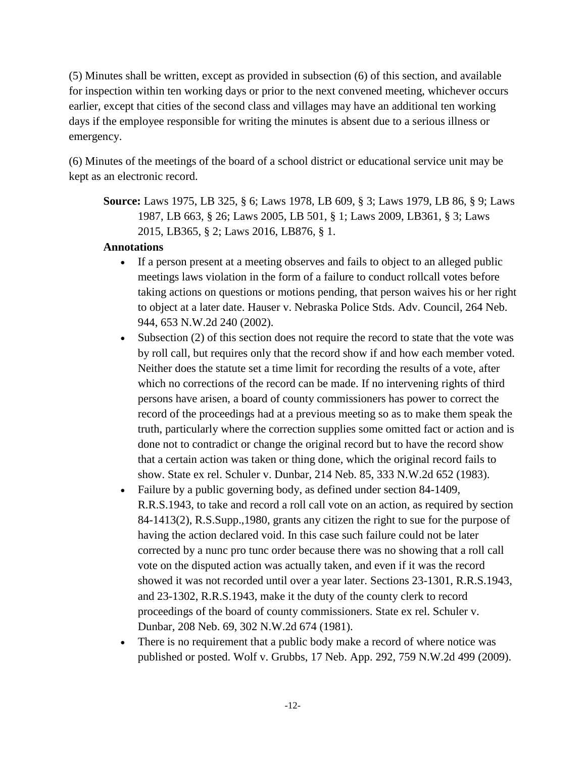(5) Minutes shall be written, except as provided in subsection (6) of this section, and available for inspection within ten working days or prior to the next convened meeting, whichever occurs earlier, except that cities of the second class and villages may have an additional ten working days if the employee responsible for writing the minutes is absent due to a serious illness or emergency.

(6) Minutes of the meetings of the board of a school district or educational service unit may be kept as an electronic record.

**Source:** Laws 1975, LB 325, § 6; Laws 1978, LB 609, § 3; Laws 1979, LB 86, § 9; Laws 1987, LB 663, § 26; Laws 2005, LB 501, § 1; Laws 2009, LB361, § 3; Laws 2015, LB365, § 2; Laws 2016, LB876, § 1.

- If a person present at a meeting observes and fails to object to an alleged public meetings laws violation in the form of a failure to conduct rollcall votes before taking actions on questions or motions pending, that person waives his or her right to object at a later date. Hauser v. Nebraska Police Stds. Adv. Council, 264 Neb. 944, 653 N.W.2d 240 (2002).
- Subsection (2) of this section does not require the record to state that the vote was by roll call, but requires only that the record show if and how each member voted. Neither does the statute set a time limit for recording the results of a vote, after which no corrections of the record can be made. If no intervening rights of third persons have arisen, a board of county commissioners has power to correct the record of the proceedings had at a previous meeting so as to make them speak the truth, particularly where the correction supplies some omitted fact or action and is done not to contradict or change the original record but to have the record show that a certain action was taken or thing done, which the original record fails to show. State ex rel. Schuler v. Dunbar, 214 Neb. 85, 333 N.W.2d 652 (1983).
- Failure by a public governing body, as defined under section 84-1409, R.R.S.1943, to take and record a roll call vote on an action, as required by section 84-1413(2), R.S.Supp.,1980, grants any citizen the right to sue for the purpose of having the action declared void. In this case such failure could not be later corrected by a nunc pro tunc order because there was no showing that a roll call vote on the disputed action was actually taken, and even if it was the record showed it was not recorded until over a year later. Sections 23-1301, R.R.S.1943, and 23-1302, R.R.S.1943, make it the duty of the county clerk to record proceedings of the board of county commissioners. State ex rel. Schuler v. Dunbar, 208 Neb. 69, 302 N.W.2d 674 (1981).
- There is no requirement that a public body make a record of where notice was published or posted. Wolf v. Grubbs, 17 Neb. App. 292, 759 N.W.2d 499 (2009).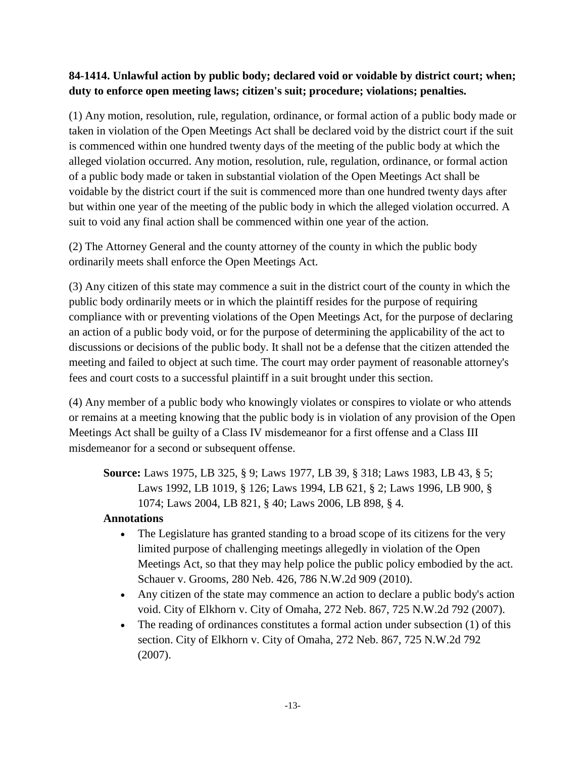# **84-1414. Unlawful action by public body; declared void or voidable by district court; when; duty to enforce open meeting laws; citizen's suit; procedure; violations; penalties.**

(1) Any motion, resolution, rule, regulation, ordinance, or formal action of a public body made or taken in violation of the Open Meetings Act shall be declared void by the district court if the suit is commenced within one hundred twenty days of the meeting of the public body at which the alleged violation occurred. Any motion, resolution, rule, regulation, ordinance, or formal action of a public body made or taken in substantial violation of the Open Meetings Act shall be voidable by the district court if the suit is commenced more than one hundred twenty days after but within one year of the meeting of the public body in which the alleged violation occurred. A suit to void any final action shall be commenced within one year of the action.

(2) The Attorney General and the county attorney of the county in which the public body ordinarily meets shall enforce the Open Meetings Act.

(3) Any citizen of this state may commence a suit in the district court of the county in which the public body ordinarily meets or in which the plaintiff resides for the purpose of requiring compliance with or preventing violations of the Open Meetings Act, for the purpose of declaring an action of a public body void, or for the purpose of determining the applicability of the act to discussions or decisions of the public body. It shall not be a defense that the citizen attended the meeting and failed to object at such time. The court may order payment of reasonable attorney's fees and court costs to a successful plaintiff in a suit brought under this section.

(4) Any member of a public body who knowingly violates or conspires to violate or who attends or remains at a meeting knowing that the public body is in violation of any provision of the Open Meetings Act shall be guilty of a Class IV misdemeanor for a first offense and a Class III misdemeanor for a second or subsequent offense.

**Source:** Laws 1975, LB 325, § 9; Laws 1977, LB 39, § 318; Laws 1983, LB 43, § 5; Laws 1992, LB 1019, § 126; Laws 1994, LB 621, § 2; Laws 1996, LB 900, § 1074; Laws 2004, LB 821, § 40; Laws 2006, LB 898, § 4.

- The Legislature has granted standing to a broad scope of its citizens for the very limited purpose of challenging meetings allegedly in violation of the Open Meetings Act, so that they may help police the public policy embodied by the act. Schauer v. Grooms, 280 Neb. 426, 786 N.W.2d 909 (2010).
- Any citizen of the state may commence an action to declare a public body's action void. City of Elkhorn v. City of Omaha, 272 Neb. 867, 725 N.W.2d 792 (2007).
- The reading of ordinances constitutes a formal action under subsection (1) of this section. City of Elkhorn v. City of Omaha, 272 Neb. 867, 725 N.W.2d 792 (2007).